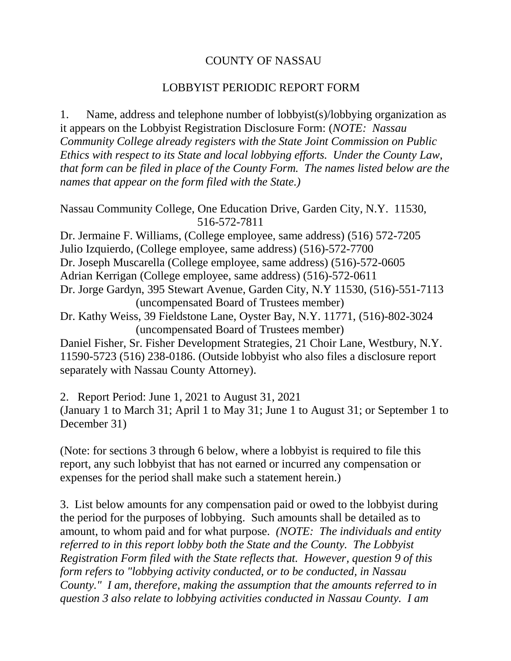## COUNTY OF NASSAU

## LOBBYIST PERIODIC REPORT FORM

1. Name, address and telephone number of lobbyist(s)/lobbying organization as it appears on the Lobbyist Registration Disclosure Form: (*NOTE: Nassau Community College already registers with the State Joint Commission on Public Ethics with respect to its State and local lobbying efforts. Under the County Law, that form can be filed in place of the County Form. The names listed below are the names that appear on the form filed with the State.)*

Nassau Community College, One Education Drive, Garden City, N.Y. 11530, 516-572-7811

Dr. Jermaine F. Williams, (College employee, same address) (516) 572-7205 Julio Izquierdo, (College employee, same address) (516)-572-7700 Dr. Joseph Muscarella (College employee, same address) (516)-572-0605 Adrian Kerrigan (College employee, same address) (516)-572-0611 Dr. Jorge Gardyn, 395 Stewart Avenue, Garden City, N.Y 11530, (516)-551-7113 (uncompensated Board of Trustees member)

Dr. Kathy Weiss, 39 Fieldstone Lane, Oyster Bay, N.Y. 11771, (516)-802-3024 (uncompensated Board of Trustees member)

Daniel Fisher, Sr. Fisher Development Strategies, 21 Choir Lane, Westbury, N.Y. 11590-5723 (516) 238-0186. (Outside lobbyist who also files a disclosure report separately with Nassau County Attorney).

2. Report Period: June 1, 2021 to August 31, 2021 (January 1 to March 31; April 1 to May 31; June 1 to August 31; or September 1 to December 31)

(Note: for sections 3 through 6 below, where a lobbyist is required to file this report, any such lobbyist that has not earned or incurred any compensation or expenses for the period shall make such a statement herein.)

3. List below amounts for any compensation paid or owed to the lobbyist during the period for the purposes of lobbying. Such amounts shall be detailed as to amount, to whom paid and for what purpose. *(NOTE: The individuals and entity referred to in this report lobby both the State and the County. The Lobbyist Registration Form filed with the State reflects that. However, question 9 of this form refers to "lobbying activity conducted, or to be conducted, in Nassau County." I am, therefore, making the assumption that the amounts referred to in question 3 also relate to lobbying activities conducted in Nassau County. I am*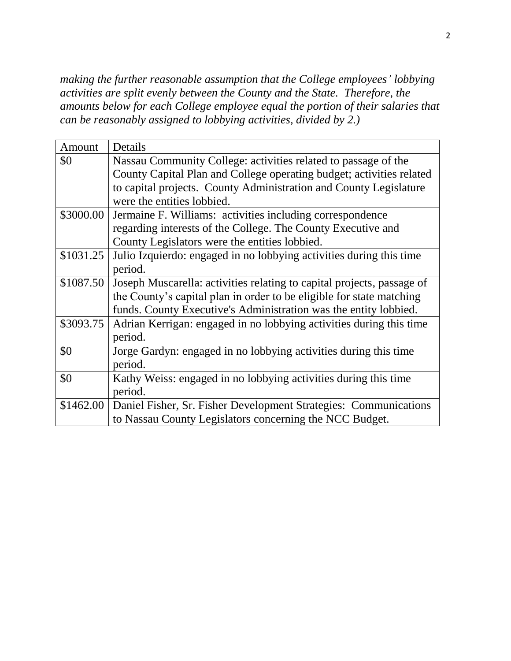*making the further reasonable assumption that the College employees' lobbying activities are split evenly between the County and the State. Therefore, the amounts below for each College employee equal the portion of their salaries that can be reasonably assigned to lobbying activities, divided by 2.)*

| Amount    | Details                                                                |  |  |
|-----------|------------------------------------------------------------------------|--|--|
| \$0       | Nassau Community College: activities related to passage of the         |  |  |
|           | County Capital Plan and College operating budget; activities related   |  |  |
|           | to capital projects. County Administration and County Legislature      |  |  |
|           | were the entities lobbied.                                             |  |  |
| \$3000.00 | Jermaine F. Williams: activities including correspondence              |  |  |
|           | regarding interests of the College. The County Executive and           |  |  |
|           | County Legislators were the entities lobbied.                          |  |  |
| \$1031.25 | Julio Izquierdo: engaged in no lobbying activities during this time    |  |  |
|           | period.                                                                |  |  |
| \$1087.50 | Joseph Muscarella: activities relating to capital projects, passage of |  |  |
|           | the County's capital plan in order to be eligible for state matching   |  |  |
|           | funds. County Executive's Administration was the entity lobbied.       |  |  |
| \$3093.75 | Adrian Kerrigan: engaged in no lobbying activities during this time    |  |  |
|           | period.                                                                |  |  |
| \$0       | Jorge Gardyn: engaged in no lobbying activities during this time       |  |  |
|           | period.                                                                |  |  |
| \$0       | Kathy Weiss: engaged in no lobbying activities during this time        |  |  |
|           | period.                                                                |  |  |
| \$1462.00 | Daniel Fisher, Sr. Fisher Development Strategies: Communications       |  |  |
|           | to Nassau County Legislators concerning the NCC Budget.                |  |  |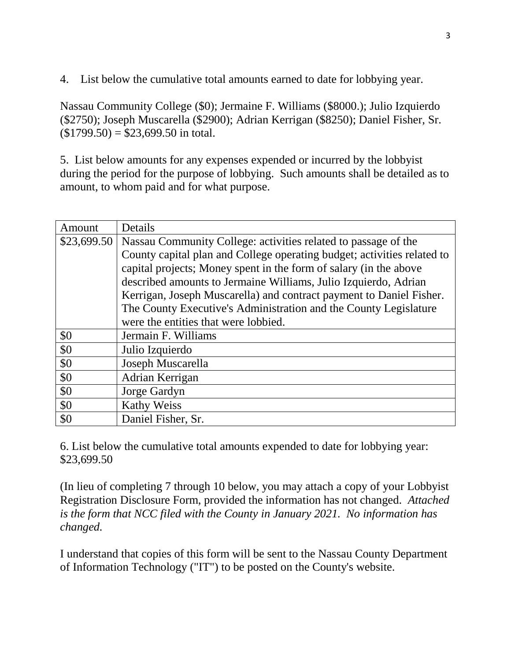4. List below the cumulative total amounts earned to date for lobbying year.

Nassau Community College (\$0); Jermaine F. Williams (\$8000.); Julio Izquierdo (\$2750); Joseph Muscarella (\$2900); Adrian Kerrigan (\$8250); Daniel Fisher, Sr.  $($1799.50) = $23,699.50$  in total.

5. List below amounts for any expenses expended or incurred by the lobbyist during the period for the purpose of lobbying. Such amounts shall be detailed as to amount, to whom paid and for what purpose.

| Amount | Details                                                                    |  |  |
|--------|----------------------------------------------------------------------------|--|--|
|        | \$23,699.50 Nassau Community College: activities related to passage of the |  |  |
|        | County capital plan and College operating budget; activities related to    |  |  |
|        | capital projects; Money spent in the form of salary (in the above          |  |  |
|        | described amounts to Jermaine Williams, Julio Izquierdo, Adrian            |  |  |
|        | Kerrigan, Joseph Muscarella) and contract payment to Daniel Fisher.        |  |  |
|        | The County Executive's Administration and the County Legislature           |  |  |
|        | were the entities that were lobbied.                                       |  |  |
| \$0    | Jermain F. Williams                                                        |  |  |
| \$0    | Julio Izquierdo                                                            |  |  |
| \$0    | Joseph Muscarella                                                          |  |  |
| \$0    | Adrian Kerrigan                                                            |  |  |
| \$0    | Jorge Gardyn                                                               |  |  |
| \$0    | <b>Kathy Weiss</b>                                                         |  |  |
| \$0    | Daniel Fisher, Sr.                                                         |  |  |

6. List below the cumulative total amounts expended to date for lobbying year: \$23,699.50

(In lieu of completing 7 through 10 below, you may attach a copy of your Lobbyist Registration Disclosure Form, provided the information has not changed. *Attached is the form that NCC filed with the County in January 2021. No information has changed.*

I understand that copies of this form will be sent to the Nassau County Department of Information Technology ("IT") to be posted on the County's website.